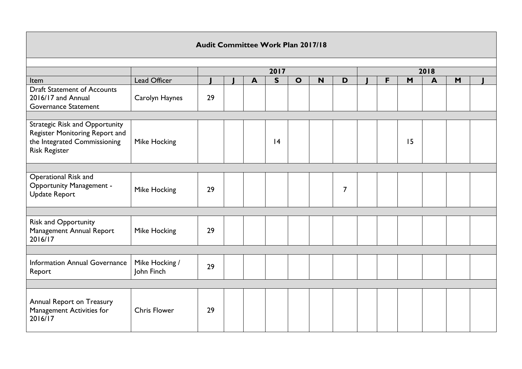|                                                                                                                                 | Audit Committee Work Plan 2017/18 |              |  |                  |              |              |   |                |  |   |    |                  |   |  |
|---------------------------------------------------------------------------------------------------------------------------------|-----------------------------------|--------------|--|------------------|--------------|--------------|---|----------------|--|---|----|------------------|---|--|
|                                                                                                                                 |                                   | 2018<br>2017 |  |                  |              |              |   |                |  |   |    |                  |   |  |
| Item                                                                                                                            | Lead Officer                      |              |  | $\blacktriangle$ | $\mathsf{s}$ | $\mathbf{o}$ | N | D              |  | F | M  | $\blacktriangle$ | M |  |
| <b>Draft Statement of Accounts</b><br>2016/17 and Annual<br><b>Governance Statement</b>                                         | Carolyn Haynes                    | 29           |  |                  |              |              |   |                |  |   |    |                  |   |  |
| <b>Strategic Risk and Opportunity</b><br>Register Monitoring Report and<br>the Integrated Commissioning<br><b>Risk Register</b> | Mike Hocking                      |              |  |                  | 4            |              |   |                |  |   | 15 |                  |   |  |
| Operational Risk and<br><b>Opportunity Management -</b><br><b>Update Report</b>                                                 | <b>Mike Hocking</b>               | 29           |  |                  |              |              |   | $\overline{7}$ |  |   |    |                  |   |  |
| <b>Risk and Opportunity</b><br>Management Annual Report<br>2016/17                                                              | Mike Hocking                      | 29           |  |                  |              |              |   |                |  |   |    |                  |   |  |
| Information Annual Governance<br>Report                                                                                         | Mike Hocking /<br>John Finch      | 29           |  |                  |              |              |   |                |  |   |    |                  |   |  |
| Annual Report on Treasury<br>Management Activities for<br>2016/17                                                               | <b>Chris Flower</b>               | 29           |  |                  |              |              |   |                |  |   |    |                  |   |  |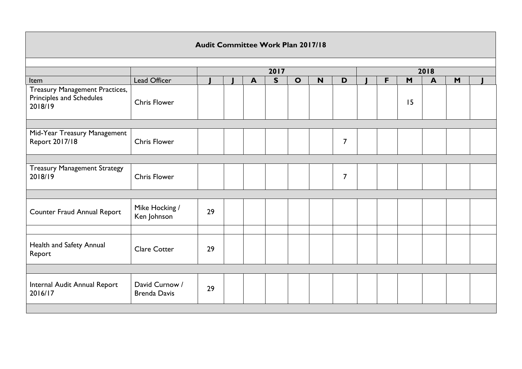|                                                                              | Audit Committee Work Plan 2017/18     |    |  |                  |              |              |      |                |  |   |    |                         |   |  |  |
|------------------------------------------------------------------------------|---------------------------------------|----|--|------------------|--------------|--------------|------|----------------|--|---|----|-------------------------|---|--|--|
|                                                                              |                                       |    |  |                  | 2017         |              | 2018 |                |  |   |    |                         |   |  |  |
| Item                                                                         | Lead Officer                          |    |  | $\blacktriangle$ | $\mathsf{S}$ | $\mathbf{o}$ | N    | D              |  | F | M  | $\overline{\mathbf{A}}$ | M |  |  |
| <b>Treasury Management Practices,</b><br>Principles and Schedules<br>2018/19 | <b>Chris Flower</b>                   |    |  |                  |              |              |      |                |  |   | 15 |                         |   |  |  |
|                                                                              |                                       |    |  |                  |              |              |      |                |  |   |    |                         |   |  |  |
| Mid-Year Treasury Management<br>Report 2017/18                               | <b>Chris Flower</b>                   |    |  |                  |              |              |      | $\overline{7}$ |  |   |    |                         |   |  |  |
|                                                                              |                                       |    |  |                  |              |              |      |                |  |   |    |                         |   |  |  |
| <b>Treasury Management Strategy</b><br>2018/19                               | <b>Chris Flower</b>                   |    |  |                  |              |              |      | $\overline{7}$ |  |   |    |                         |   |  |  |
|                                                                              |                                       |    |  |                  |              |              |      |                |  |   |    |                         |   |  |  |
| <b>Counter Fraud Annual Report</b>                                           | Mike Hocking /<br>Ken Johnson         | 29 |  |                  |              |              |      |                |  |   |    |                         |   |  |  |
|                                                                              |                                       |    |  |                  |              |              |      |                |  |   |    |                         |   |  |  |
| Health and Safety Annual<br>Report                                           | <b>Clare Cotter</b>                   | 29 |  |                  |              |              |      |                |  |   |    |                         |   |  |  |
|                                                                              |                                       |    |  |                  |              |              |      |                |  |   |    |                         |   |  |  |
| Internal Audit Annual Report<br>2016/17                                      | David Curnow /<br><b>Brenda Davis</b> | 29 |  |                  |              |              |      |                |  |   |    |                         |   |  |  |
|                                                                              |                                       |    |  |                  |              |              |      |                |  |   |    |                         |   |  |  |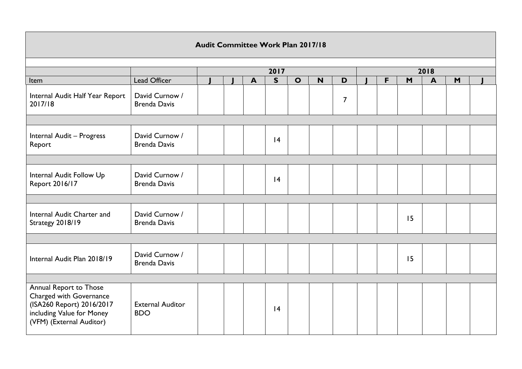|                                                                                                                                         | <b>Audit Committee Work Plan 2017/18</b> |  |  |                  |      |              |      |                |  |   |    |                  |   |  |
|-----------------------------------------------------------------------------------------------------------------------------------------|------------------------------------------|--|--|------------------|------|--------------|------|----------------|--|---|----|------------------|---|--|
|                                                                                                                                         |                                          |  |  |                  | 2017 |              | 2018 |                |  |   |    |                  |   |  |
| Item                                                                                                                                    | Lead Officer                             |  |  | $\blacktriangle$ | S    | $\mathbf{o}$ | N    | D              |  | F | M  | $\blacktriangle$ | M |  |
| Internal Audit Half Year Report<br>2017/18                                                                                              | David Curnow /<br><b>Brenda Davis</b>    |  |  |                  |      |              |      | $\overline{7}$ |  |   |    |                  |   |  |
|                                                                                                                                         |                                          |  |  |                  |      |              |      |                |  |   |    |                  |   |  |
| Internal Audit - Progress<br>Report                                                                                                     | David Curnow /<br><b>Brenda Davis</b>    |  |  |                  | 4    |              |      |                |  |   |    |                  |   |  |
|                                                                                                                                         |                                          |  |  |                  |      |              |      |                |  |   |    |                  |   |  |
| Internal Audit Follow Up<br>Report 2016/17                                                                                              | David Curnow /<br><b>Brenda Davis</b>    |  |  |                  | 4    |              |      |                |  |   |    |                  |   |  |
|                                                                                                                                         |                                          |  |  |                  |      |              |      |                |  |   |    |                  |   |  |
| Internal Audit Charter and<br>Strategy 2018/19                                                                                          | David Curnow /<br><b>Brenda Davis</b>    |  |  |                  |      |              |      |                |  |   | 15 |                  |   |  |
|                                                                                                                                         |                                          |  |  |                  |      |              |      |                |  |   |    |                  |   |  |
| Internal Audit Plan 2018/19                                                                                                             | David Curnow /<br><b>Brenda Davis</b>    |  |  |                  |      |              |      |                |  |   | 15 |                  |   |  |
|                                                                                                                                         |                                          |  |  |                  |      |              |      |                |  |   |    |                  |   |  |
| Annual Report to Those<br>Charged with Governance<br>(ISA260 Report) 2016/2017<br>including Value for Money<br>(VFM) (External Auditor) | <b>External Auditor</b><br><b>BDO</b>    |  |  |                  | 4    |              |      |                |  |   |    |                  |   |  |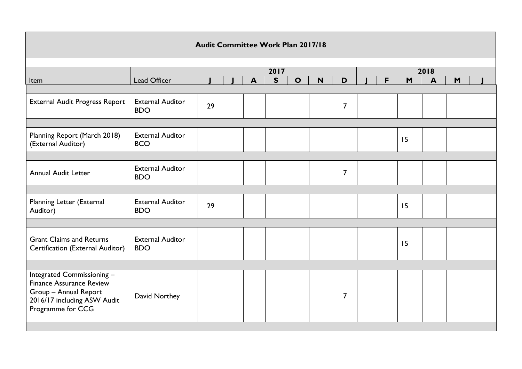|                                                                                                                                            |                                       | Audit Committee Work Plan 2017/18 |  |                  |              |              |      |                |  |   |    |              |   |  |
|--------------------------------------------------------------------------------------------------------------------------------------------|---------------------------------------|-----------------------------------|--|------------------|--------------|--------------|------|----------------|--|---|----|--------------|---|--|
|                                                                                                                                            |                                       |                                   |  |                  | 2017         |              | 2018 |                |  |   |    |              |   |  |
| Item                                                                                                                                       | Lead Officer                          |                                   |  | $\blacktriangle$ | $\mathsf{s}$ | $\mathbf{o}$ | N    | D              |  | F | M  | $\mathbf{A}$ | M |  |
|                                                                                                                                            |                                       |                                   |  |                  |              |              |      |                |  |   |    |              |   |  |
| External Audit Progress Report                                                                                                             | <b>External Auditor</b><br><b>BDO</b> | 29                                |  |                  |              |              |      | $\overline{7}$ |  |   |    |              |   |  |
|                                                                                                                                            |                                       |                                   |  |                  |              |              |      |                |  |   |    |              |   |  |
| Planning Report (March 2018)<br>(External Auditor)                                                                                         | <b>External Auditor</b><br><b>BCO</b> |                                   |  |                  |              |              |      |                |  |   | 15 |              |   |  |
|                                                                                                                                            |                                       |                                   |  |                  |              |              |      |                |  |   |    |              |   |  |
| <b>Annual Audit Letter</b>                                                                                                                 | <b>External Auditor</b><br><b>BDO</b> |                                   |  |                  |              |              |      | $\overline{7}$ |  |   |    |              |   |  |
|                                                                                                                                            |                                       |                                   |  |                  |              |              |      |                |  |   |    |              |   |  |
| Planning Letter (External<br>Auditor)                                                                                                      | <b>External Auditor</b><br><b>BDO</b> | 29                                |  |                  |              |              |      |                |  |   | 15 |              |   |  |
|                                                                                                                                            |                                       |                                   |  |                  |              |              |      |                |  |   |    |              |   |  |
| <b>Grant Claims and Returns</b><br>Certification (External Auditor)                                                                        | <b>External Auditor</b><br><b>BDO</b> |                                   |  |                  |              |              |      |                |  |   | 15 |              |   |  |
|                                                                                                                                            |                                       |                                   |  |                  |              |              |      |                |  |   |    |              |   |  |
| Integrated Commissioning -<br><b>Finance Assurance Review</b><br>Group - Annual Report<br>2016/17 including ASW Audit<br>Programme for CCG | David Northey                         |                                   |  |                  |              |              |      | $\overline{7}$ |  |   |    |              |   |  |
|                                                                                                                                            |                                       |                                   |  |                  |              |              |      |                |  |   |    |              |   |  |